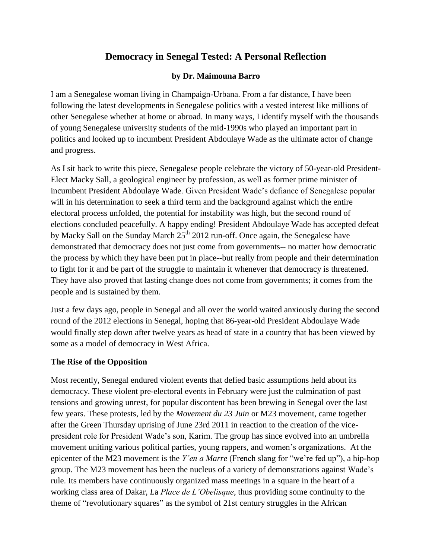# **Democracy in Senegal Tested: A Personal Reflection**

#### **by Dr. Maimouna Barro**

I am a Senegalese woman living in Champaign-Urbana. From a far distance, I have been following the latest developments in Senegalese politics with a vested interest like millions of other Senegalese whether at home or abroad. In many ways, I identify myself with the thousands of young Senegalese university students of the mid-1990s who played an important part in politics and looked up to incumbent President Abdoulaye Wade as the ultimate actor of change and progress.

As I sit back to write this piece, Senegalese people celebrate the victory of 50-year-old President-Elect Macky Sall, a geological engineer by profession, as well as former prime minister of incumbent President Abdoulaye Wade. Given President Wade's defiance of Senegalese popular will in his determination to seek a third term and the background against which the entire electoral process unfolded, the potential for instability was high, but the second round of elections concluded peacefully. A happy ending! President Abdoulaye Wade has accepted defeat by Macky Sall on the Sunday March 25<sup>th</sup> 2012 run-off. Once again, the Senegalese have demonstrated that democracy does not just come from governments-- no matter how democratic the process by which they have been put in place--but really from people and their determination to fight for it and be part of the struggle to maintain it whenever that democracy is threatened. They have also proved that lasting change does not come from governments; it comes from the people and is sustained by them.

Just a few days ago, people in Senegal and all over the world waited anxiously during the second round of the 2012 elections in Senegal, hoping that 86-year-old President Abdoulaye Wade would finally step down after twelve years as head of state in a country that has been viewed by some as a model of democracy in West Africa.

#### **The Rise of the Opposition**

Most recently, Senegal endured violent events that defied basic assumptions held about its democracy. These violent pre-electoral events in February were just the culmination of past tensions and growing unrest, for popular discontent has been brewing in Senegal over the last few years. These protests, led by the *Movement du 23 Juin* or M23 movement, came together after the Green Thursday uprising of June 23rd 2011 in reaction to the creation of the vicepresident role for President Wade's son, Karim. The group has since evolved into an umbrella movement uniting various political parties, young rappers, and women's organizations. At the epicenter of the M23 movement is the *Y'en a Marre* (French slang for "we're fed up"), a hip-hop group. The M23 movement has been the nucleus of a variety of demonstrations against Wade's rule. Its members have continuously organized mass meetings in a square in the heart of a working class area of Dakar, *L*a *Place de L'Obelisque*, thus providing some continuity to the theme of "revolutionary squares" as the symbol of 21st century struggles in the African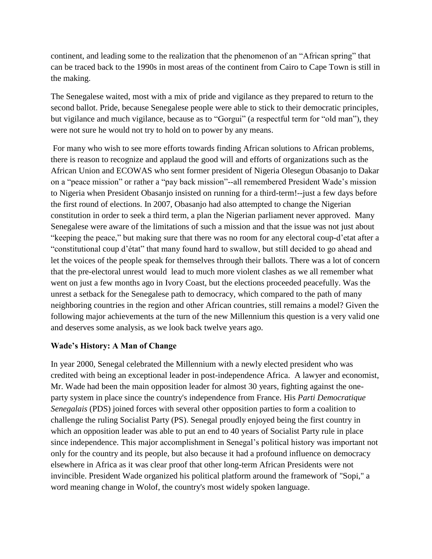continent, and leading some to the realization that the phenomenon of an "African spring" that can be traced back to the 1990s in most areas of the continent from Cairo to Cape Town is still in the making.

The Senegalese waited, most with a mix of pride and vigilance as they prepared to return to the second ballot. Pride, because Senegalese people were able to stick to their democratic principles, but vigilance and much vigilance, because as to "Gorgui" (a respectful term for "old man"), they were not sure he would not try to hold on to power by any means.

For many who wish to see more efforts towards finding African solutions to African problems, there is reason to recognize and applaud the good will and efforts of organizations such as the African Union and ECOWAS who sent former president of Nigeria Olesegun Obasanjo to Dakar on a "peace mission" or rather a "pay back mission"--all remembered President Wade's mission to Nigeria when President Obasanjo insisted on running for a third-term!--just a few days before the first round of elections. In 2007, Obasanjo had also attempted to change the Nigerian constitution in order to seek a third term, a plan the Nigerian parliament never approved. Many Senegalese were aware of the limitations of such a mission and that the issue was not just about "keeping the peace," but making sure that there was no room for any electoral coup-d'etat after a "constitutional coup d'état" that many found hard to swallow, but still decided to go ahead and let the voices of the people speak for themselves through their ballots. There was a lot of concern that the pre-electoral unrest would lead to much more violent clashes as we all remember what went on just a few months ago in Ivory Coast, but the elections proceeded peacefully. Was the unrest a setback for the Senegalese path to democracy, which compared to the path of many neighboring countries in the region and other African countries, still remains a model? Given the following major achievements at the turn of the new Millennium this question is a very valid one and deserves some analysis, as we look back twelve years ago.

## **Wade's History: A Man of Change**

In year 2000, Senegal celebrated the Millennium with a newly elected president who was credited with being an exceptional leader in post-independence Africa. A lawyer and economist, Mr. Wade had been the main opposition leader for almost 30 years, fighting against the oneparty system in place since the country's independence from France. His *Parti Democratique Senegalais* (PDS) joined forces with several other opposition parties to form a coalition to challenge the ruling Socialist Party (PS). Senegal proudly enjoyed being the first country in which an opposition leader was able to put an end to 40 years of Socialist Party rule in place since independence. This major accomplishment in Senegal's political history was important not only for the country and its people, but also because it had a profound influence on democracy elsewhere in Africa as it was clear proof that other long-term African Presidents were not invincible. President Wade organized his political platform around the framework of "Sopi," a word meaning change in Wolof, the country's most widely spoken language.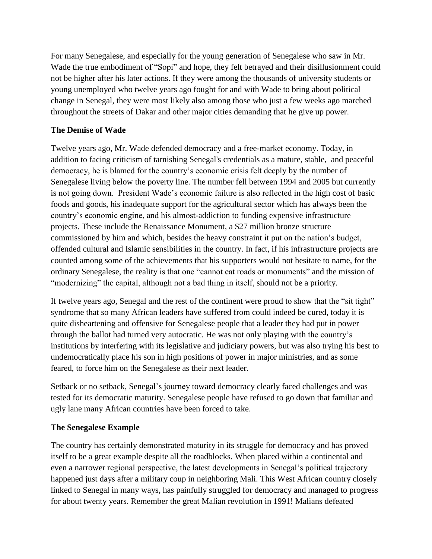For many Senegalese, and especially for the young generation of Senegalese who saw in Mr. Wade the true embodiment of "Sopi" and hope, they felt betrayed and their disillusionment could not be higher after his later actions. If they were among the thousands of university students or young unemployed who twelve years ago fought for and with Wade to bring about political change in Senegal, they were most likely also among those who just a few weeks ago marched throughout the streets of Dakar and other major cities demanding that he give up power.

## **The Demise of Wade**

Twelve years ago, Mr. Wade defended democracy and a free-market economy. Today, in addition to facing criticism of tarnishing Senegal's credentials as a mature, stable, and peaceful democracy, he is blamed for the country's economic crisis felt deeply by the number of Senegalese living below the poverty line. The number fell between 1994 and 2005 but currently is not going down. President Wade's economic failure is also reflected in the high cost of basic foods and goods, his inadequate support for the agricultural sector which has always been the country's economic engine, and his almost-addiction to funding expensive infrastructure projects. These include the Renaissance Monument, a \$27 million bronze structure commissioned by him and which, besides the heavy constraint it put on the nation's budget, offended cultural and Islamic sensibilities in the country. In fact, if his infrastructure projects are counted among some of the achievements that his supporters would not hesitate to name, for the ordinary Senegalese, the reality is that one "cannot eat roads or monuments" and the mission of "modernizing" the capital, although not a bad thing in itself, should not be a priority.

If twelve years ago, Senegal and the rest of the continent were proud to show that the "sit tight" syndrome that so many African leaders have suffered from could indeed be cured, today it is quite disheartening and offensive for Senegalese people that a leader they had put in power through the ballot had turned very autocratic. He was not only playing with the country's institutions by interfering with its legislative and judiciary powers, but was also trying his best to undemocratically place his son in high positions of power in major ministries, and as some feared, to force him on the Senegalese as their next leader.

Setback or no setback, Senegal's journey toward democracy clearly faced challenges and was tested for its democratic maturity. Senegalese people have refused to go down that familiar and ugly lane many African countries have been forced to take.

## **The Senegalese Example**

The country has certainly demonstrated maturity in its struggle for democracy and has proved itself to be a great example despite all the roadblocks. When placed within a continental and even a narrower regional perspective, the latest developments in Senegal's political trajectory happened just days after a military coup in neighboring Mali. This West African country closely linked to Senegal in many ways, has painfully struggled for democracy and managed to progress for about twenty years. Remember the great Malian revolution in 1991! Malians defeated